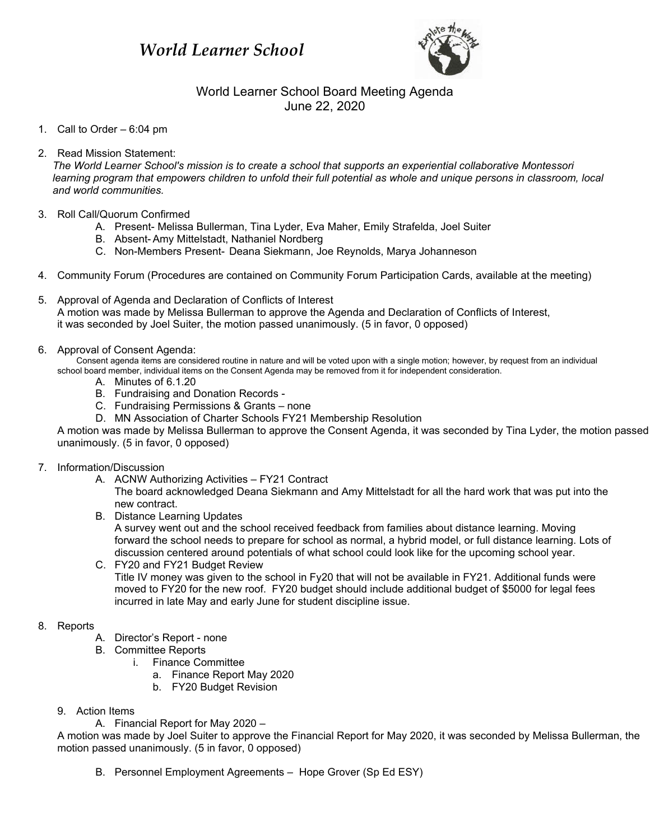# *World Learner School*



## World Learner School Board Meeting Agenda June 22, 2020

1. Call to Order – 6:04 pm

#### 2. Read Mission Statement:

*The World Learner School's mission is to create a school that supports an experiential collaborative Montessori learning program that empowers children to unfold their full potential as whole and unique persons in classroom, local and world communities.*

- 3. Roll Call/Quorum Confirmed
	- A. Present- Melissa Bullerman, Tina Lyder, Eva Maher, Emily Strafelda, Joel Suiter
	- B. Absent- Amy Mittelstadt, Nathaniel Nordberg
	- C. Non-Members Present- Deana Siekmann, Joe Reynolds, Marya Johanneson
- 4. Community Forum (Procedures are contained on Community Forum Participation Cards, available at the meeting)
- 5. Approval of Agenda and Declaration of Conflicts of Interest A motion was made by Melissa Bullerman to approve the Agenda and Declaration of Conflicts of Interest, it was seconded by Joel Suiter, the motion passed unanimously. (5 in favor, 0 opposed)
- 6. Approval of Consent Agenda:

Consent agenda items are considered routine in nature and will be voted upon with a single motion; however, by request from an individual school board member, individual items on the Consent Agenda may be removed from it for independent consideration.

- A. Minutes of 6.1.20
- B. Fundraising and Donation Records -
- C. Fundraising Permissions & Grants none
- D. MN Association of Charter Schools FY21 Membership Resolution

A motion was made by Melissa Bullerman to approve the Consent Agenda, it was seconded by Tina Lyder, the motion passed unanimously. (5 in favor, 0 opposed)

#### 7. Information/Discussion

A. ACNW Authorizing Activities – FY21 Contract

The board acknowledged Deana Siekmann and Amy Mittelstadt for all the hard work that was put into the new contract.

B. Distance Learning Updates

A survey went out and the school received feedback from families about distance learning. Moving forward the school needs to prepare for school as normal, a hybrid model, or full distance learning. Lots of discussion centered around potentials of what school could look like for the upcoming school year.

C. FY20 and FY21 Budget Review Title IV money was given to the school in Fy20 that will not be available in FY21. Additional funds were moved to FY20 for the new roof. FY20 budget should include additional budget of \$5000 for legal fees incurred in late May and early June for student discipline issue.

### 8. Reports

- A. Director's Report none
- B. Committee Reports
	- i. Finance Committee
		- a. Finance Report May 2020
		- b. FY20 Budget Revision
- 9. Action Items

A. Financial Report for May 2020 –

A motion was made by Joel Suiter to approve the Financial Report for May 2020, it was seconded by Melissa Bullerman, the motion passed unanimously. (5 in favor, 0 opposed)

B. Personnel Employment Agreements – Hope Grover (Sp Ed ESY)